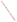